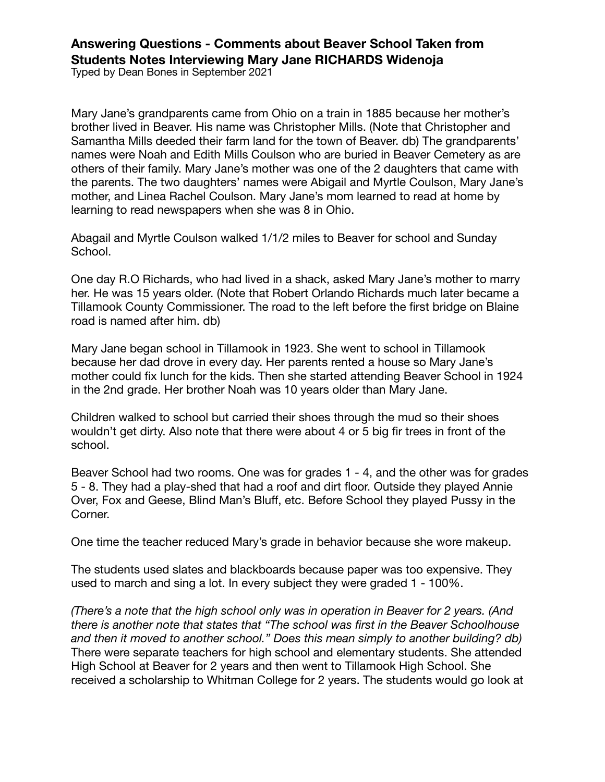## **Answering Questions - Comments about Beaver School Taken from Students Notes Interviewing Mary Jane RICHARDS Widenoja**

Typed by Dean Bones in September 2021

Mary Jane's grandparents came from Ohio on a train in 1885 because her mother's brother lived in Beaver. His name was Christopher Mills. (Note that Christopher and Samantha Mills deeded their farm land for the town of Beaver. db) The grandparents' names were Noah and Edith Mills Coulson who are buried in Beaver Cemetery as are others of their family. Mary Jane's mother was one of the 2 daughters that came with the parents. The two daughters' names were Abigail and Myrtle Coulson, Mary Jane's mother, and Linea Rachel Coulson. Mary Jane's mom learned to read at home by learning to read newspapers when she was 8 in Ohio.

Abagail and Myrtle Coulson walked 1/1/2 miles to Beaver for school and Sunday School.

One day R.O Richards, who had lived in a shack, asked Mary Jane's mother to marry her. He was 15 years older. (Note that Robert Orlando Richards much later became a Tillamook County Commissioner. The road to the left before the first bridge on Blaine road is named after him. db)

Mary Jane began school in Tillamook in 1923. She went to school in Tillamook because her dad drove in every day. Her parents rented a house so Mary Jane's mother could fix lunch for the kids. Then she started attending Beaver School in 1924 in the 2nd grade. Her brother Noah was 10 years older than Mary Jane.

Children walked to school but carried their shoes through the mud so their shoes wouldn't get dirty. Also note that there were about 4 or 5 big fir trees in front of the school.

Beaver School had two rooms. One was for grades 1 - 4, and the other was for grades 5 - 8. They had a play-shed that had a roof and dirt floor. Outside they played Annie Over, Fox and Geese, Blind Man's Bluff, etc. Before School they played Pussy in the Corner.

One time the teacher reduced Mary's grade in behavior because she wore makeup.

The students used slates and blackboards because paper was too expensive. They used to march and sing a lot. In every subject they were graded 1 - 100%.

*(There's a note that the high school only was in operation in Beaver for 2 years. (And there is another note that states that "The school was first in the Beaver Schoolhouse and then it moved to another school." Does this mean simply to another building? db)*  There were separate teachers for high school and elementary students. She attended High School at Beaver for 2 years and then went to Tillamook High School. She received a scholarship to Whitman College for 2 years. The students would go look at